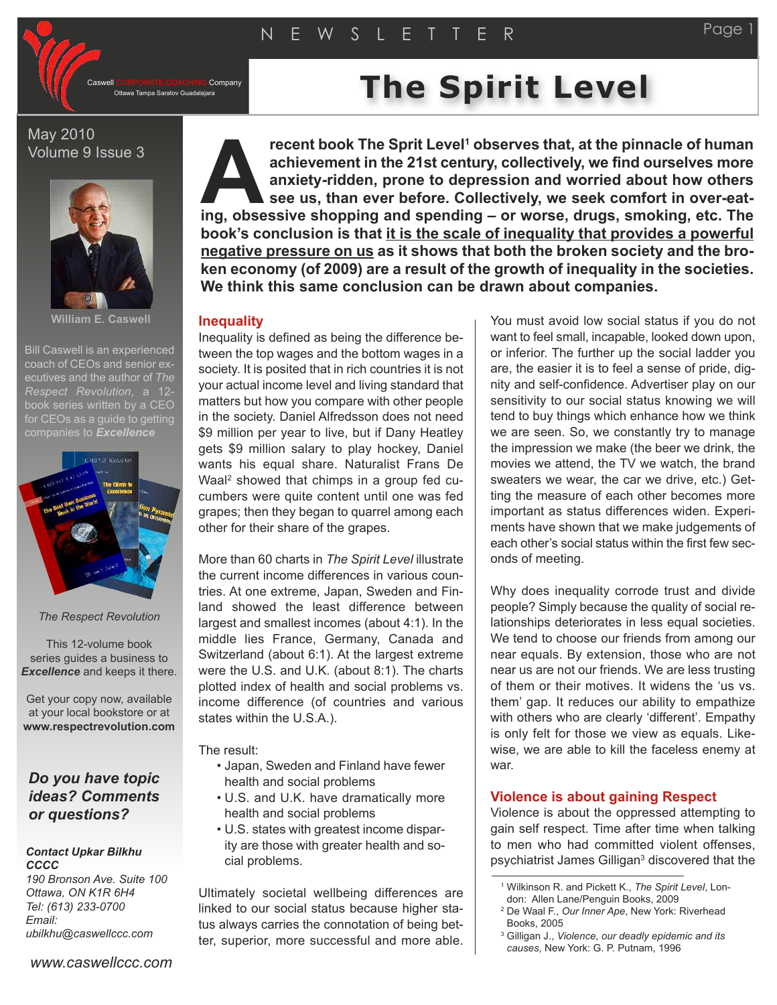Company

## May 2010 Volume 9 Issue 3



**William E. Caswell**

Bill Caswell is an experienced coach of CEOs and senior executives and the author of *The Respect Revolution*, a 12 book series written by a CEO for CEOs as a quide to getting companies to *Excellence*



#### *The Respect Revolution*

This 12-volume book series guides a business to *Excellence* and keeps it there.

Get your copy now, available at your local bookstore or at **www.respectrevolution.com**

## *Do you have topic ideas? Comments or questions?*

#### *Contact Upkar Bilkhu CCCC*

*190 Bronson Ave. Suite 100 Ottawa, ON K1R 6H4 Tel: (613) 233-0700 Email: ubilkhu@caswellccc.com*

# **The Spirate Coaching Company The Spirit Level**

**recent book The Sprit Level <sup>1</sup> observes that, at the pinnacle of human achievement in the 21st century, collectively, we find ourselves more anxiety-ridden, prone to depression and worried about how others see us, than ever before. Collectively, we seek comfort in over-eatinf in the Sprit Level<sup>1</sup> observes that, at the pinnacle of human achievement in the 21st century, collectively, we find ourselves more anxiety-ridden, prone to depression and worried about how others see us, than ever book's conclusion is that it is the scale of inequality that provides a powerful negative pressure on us as it shows that both the broken society and the broken economy (of 2009) are a result of the growth of inequality in the societies. We think this same conclusion can be drawn about companies.**

## **Inequality**

Inequality is defined as being the difference between the top wages and the bottom wages in a society. It is posited that in rich countries it is not your actual income level and living standard that matters but how you compare with other people in the society. Daniel Alfredsson does not need \$9 million per year to live, but if Dany Heatley gets \$9 million salary to play hockey, Daniel wants his equal share. Naturalist Frans De Waal <sup>2</sup> showed that chimps in a group fed cucumbers were quite content until one was fed grapes; then they began to quarrel among each other for their share of the grapes.

More than 60 charts in *The Spirit Level* illustrate the current income differences in various countries. At one extreme, Japan, Sweden and Finland showed the least difference between largest and smallest incomes (about 4:1). In the middle lies France, Germany, Canada and Switzerland (about 6:1). At the largest extreme were the U.S. and U.K. (about 8:1). The charts plotted index of health and social problems vs. income difference (of countries and various states within the U.S.A.).

The result:

- Japan, Sweden and Finland have fewer health and social problems
- U.S. and U.K. have dramatically more health and social problems
- U.S. states with greatest income disparity are those with greater health and social problems.

Ultimately societal wellbeing differences are linked to our social status because higher status always carries the connotation of being better, superior, more successful and more able. You must avoid low social status if you do not want to feel small, incapable, looked down upon, or inferior. The further up the social ladder you are, the easier it is to feel a sense of pride, dignity and self-confidence. Advertiser play on our sensitivity to our social status knowing we will tend to buy things which enhance how we think we are seen. So, we constantly try to manage the impression we make (the beer we drink, the movies we attend, the TV we watch, the brand sweaters we wear, the car we drive, etc.) Getting the measure of each other becomes more important as status differences widen. Experiments have shown that we make judgements of each other's social status within the first few seconds of meeting.

Why does inequality corrode trust and divide people? Simply because the quality of social relationships deteriorates in less equal societies. We tend to choose our friends from among our near equals. By extension, those who are not near us are not our friends. We are less trusting of them or their motives. It widens the 'us vs. them' gap. It reduces our ability to empathize with others who are clearly 'different'. Empathy is only felt for those we view as equals. Likewise, we are able to kill the faceless enemy at war.

## **Violence is about gaining Respect**

Violence is about the oppressed attempting to gain self respect. Time after time when talking to men who had committed violent offenses, psychiatrist James Gilligan<sup>3</sup> discovered that the

<sup>1</sup> Wilkinson R. and Pickett K., *The Spirit Level*, Lon-

don: Allen Lane/Penguin Books, 2009

<sup>2</sup> De Waal F., *Our Inner Ape*, New York: Riverhead Books, 2005

<sup>3</sup> Gilligan J., *Violence, our deadly epidemic and its causes*, New York: G. P. Putnam, 1996